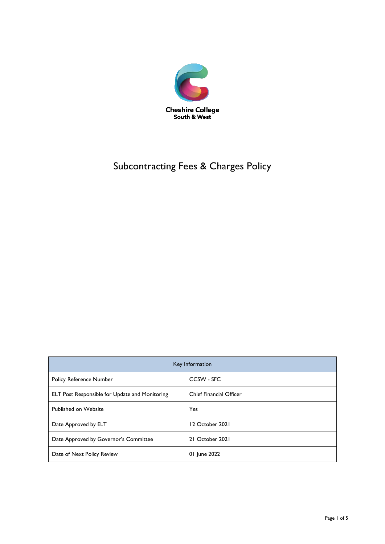

# Subcontracting Fees & Charges Policy

| Key Information                                       |                                |
|-------------------------------------------------------|--------------------------------|
| <b>Policy Reference Number</b>                        | CCSW - SFC                     |
| <b>ELT Post Responsible for Update and Monitoring</b> | <b>Chief Financial Officer</b> |
| Published on Website                                  | Yes                            |
| Date Approved by ELT                                  | 12 October 2021                |
| Date Approved by Governor's Committee                 | 21 October 2021                |
| Date of Next Policy Review                            | 01 June 2022                   |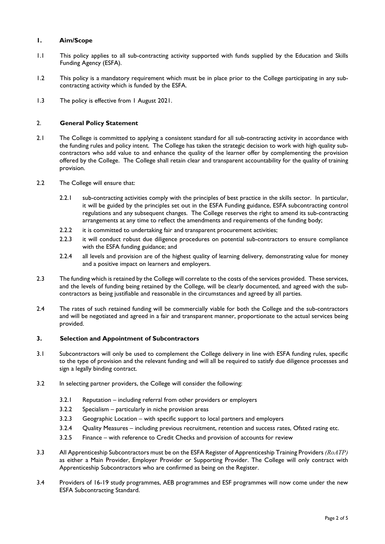# **1. Aim/Scope**

- 1.1 This policy applies to all sub-contracting activity supported with funds supplied by the Education and Skills Funding Agency (ESFA).
- 1.2 This policy is a mandatory requirement which must be in place prior to the College participating in any subcontracting activity which is funded by the ESFA.
- 1.3 The policy is effective from 1 August 2021.

# 2. **General Policy Statement**

- 2.1 The College is committed to applying a consistent standard for all sub-contracting activity in accordance with the funding rules and policy intent. The College has taken the strategic decision to work with high quality subcontractors who add value to and enhance the quality of the learner offer by complementing the provision offered by the College. The College shall retain clear and transparent accountability for the quality of training provision.
- 2.2 The College will ensure that:
	- 2.2.1 sub-contracting activities comply with the principles of best practice in the skills sector. In particular, it will be guided by the principles set out in the ESFA Funding guidance, ESFA subcontracting control regulations and any subsequent changes. The College reserves the right to amend its sub-contracting arrangements at any time to reflect the amendments and requirements of the funding body;
	- 2.2.2 it is committed to undertaking fair and transparent procurement activities;
	- 2.2.3 it will conduct robust due diligence procedures on potential sub-contractors to ensure compliance with the ESFA funding guidance; and
	- 2.2.4 all levels and provision are of the highest quality of learning delivery, demonstrating value for money and a positive impact on learners and employers.
- 2.3 The funding which is retained by the College will correlate to the costs of the services provided. These services, and the levels of funding being retained by the College, will be clearly documented, and agreed with the subcontractors as being justifiable and reasonable in the circumstances and agreed by all parties.
- 2.4 The rates of such retained funding will be commercially viable for both the College and the sub-contractors and will be negotiated and agreed in a fair and transparent manner, proportionate to the actual services being provided.

#### **3. Selection and Appointment of Subcontractors**

- 3.1 Subcontractors will only be used to complement the College delivery in line with ESFA funding rules, specific to the type of provision and the relevant funding and will all be required to satisfy due diligence processes and sign a legally binding contract.
- 3.2 In selecting partner providers, the College will consider the following:
	- 3.2.1 Reputation including referral from other providers or employers
	- 3.2.2 Specialism particularly in niche provision areas
	- 3.2.3 Geographic Location with specific support to local partners and employers
	- 3.2.4 Quality Measures including previous recruitment, retention and success rates, Ofsted rating etc.
	- 3.2.5 Finance with reference to Credit Checks and provision of accounts for review
- 3.3 All Apprenticeship Subcontractors must be on the ESFA Register of Apprenticeship Training Providers *(RoATP)* as either a Main Provider, Employer Provider or Supporting Provider. The College will only contract with Apprenticeship Subcontractors who are confirmed as being on the Register.
- 3.4 Providers of 16-19 study programmes, AEB programmes and ESF programmes will now come under the new ESFA Subcontracting Standard.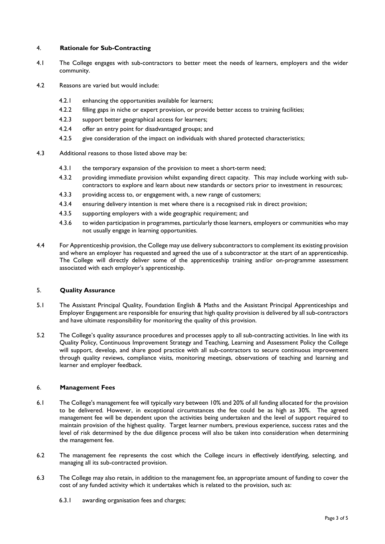# 4. **Rationale for Sub-Contracting**

- 4.1 The College engages with sub-contractors to better meet the needs of learners, employers and the wider community.
- 4.2 Reasons are varied but would include:
	- 4.2.1 enhancing the opportunities available for learners;
	- 4.2.2 filling gaps in niche or expert provision, or provide better access to training facilities;
	- 4.2.3 support better geographical access for learners;
	- 4.2.4 offer an entry point for disadvantaged groups; and
	- 4.2.5 give consideration of the impact on individuals with shared protected characteristics;
- 4.3 Additional reasons to those listed above may be:
	- 4.3.1 the temporary expansion of the provision to meet a short-term need;
	- 4.3.2 providing immediate provision whilst expanding direct capacity. This may include working with subcontractors to explore and learn about new standards or sectors prior to investment in resources;
	- 4.3.3 providing access to, or engagement with, a new range of customers;
	- 4.3.4 ensuring delivery intention is met where there is a recognised risk in direct provision;
	- 4.3.5 supporting employers with a wide geographic requirement; and
	- 4.3.6 to widen participation in programmes, particularly those learners, employers or communities who may not usually engage in learning opportunities.
- 4.4 For Apprenticeship provision, the College may use delivery subcontractors to complement its existing provision and where an employer has requested and agreed the use of a subcontractor at the start of an apprenticeship. The College will directly deliver some of the apprenticeship training and/or on-programme assessment associated with each employer's apprenticeship.

#### 5. **Quality Assurance**

- 5.1 The Assistant Principal Quality, Foundation English & Maths and the Assistant Principal Apprenticeships and Employer Engagement are responsible for ensuring that high quality provision is delivered by all sub-contractors and have ultimate responsibility for monitoring the quality of this provision.
- 5.2 The College's quality assurance procedures and processes apply to all sub-contracting activities. In line with its Quality Policy, Continuous Improvement Strategy and Teaching, Learning and Assessment Policy the College will support, develop, and share good practice with all sub-contractors to secure continuous improvement through quality reviews, compliance visits, monitoring meetings, observations of teaching and learning and learner and employer feedback.

#### 6. **Management Fees**

- 6.1 The College's management fee will typically vary between 10% and 20% of all funding allocated for the provision to be delivered. However, in exceptional circumstances the fee could be as high as 30%. The agreed management fee will be dependent upon the activities being undertaken and the level of support required to maintain provision of the highest quality. Target learner numbers, previous experience, success rates and the level of risk determined by the due diligence process will also be taken into consideration when determining the management fee.
- 6.2 The management fee represents the cost which the College incurs in effectively identifying, selecting, and managing all its sub-contracted provision.
- 6.3 The College may also retain, in addition to the management fee, an appropriate amount of funding to cover the cost of any funded activity which it undertakes which is related to the provision, such as:
	- 6.3.1 awarding organisation fees and charges;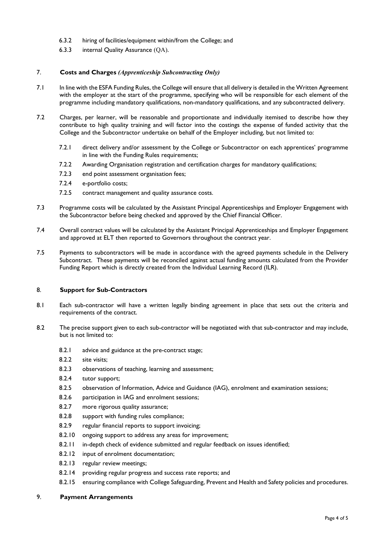- 6.3.2 hiring of facilities/equipment within/from the College; and
- 6.3.3 internal Quality Assurance (QA).

### 7. **Costs and Charges** *(Apprenticeship Subcontracting Only)*

- 7.1 In line with the ESFA Funding Rules, the College will ensure that all delivery is detailed in the Written Agreement with the employer at the start of the programme, specifying who will be responsible for each element of the programme including mandatory qualifications, non-mandatory qualifications, and any subcontracted delivery.
- 7.2 Charges, per learner, will be reasonable and proportionate and individually itemised to describe how they contribute to high quality training and will factor into the costings the expense of funded activity that the College and the Subcontractor undertake on behalf of the Employer including, but not limited to:
	- 7.2.1 direct delivery and/or assessment by the College or Subcontractor on each apprentices' programme in line with the Funding Rules requirements;
	- 7.2.2 Awarding Organisation registration and certification charges for mandatory qualifications;
	- 7.2.3 end point assessment organisation fees;
	- 7.2.4 e-portfolio costs;
	- 7.2.5 contract management and quality assurance costs.
- 7.3 Programme costs will be calculated by the Assistant Principal Apprenticeships and Employer Engagement with the Subcontractor before being checked and approved by the Chief Financial Officer.
- 7.4 Overall contract values will be calculated by the Assistant Principal Apprenticeships and Employer Engagement and approved at ELT then reported to Governors throughout the contract year.
- 7.5 Payments to subcontractors will be made in accordance with the agreed payments schedule in the Delivery Subcontract. These payments will be reconciled against actual funding amounts calculated from the Provider Funding Report which is directly created from the Individual Learning Record (ILR).

#### 8. **Support for Sub-Contractors**

- 8.1 Each sub-contractor will have a written legally binding agreement in place that sets out the criteria and requirements of the contract.
- 8.2 The precise support given to each sub-contractor will be negotiated with that sub-contractor and may include, but is not limited to:
	- 8.2.1 advice and guidance at the pre-contract stage;
	- 8.2.2 site visits;
	- 8.2.3 observations of teaching, learning and assessment;
	- 8.2.4 tutor support;
	- 8.2.5 observation of Information, Advice and Guidance (IAG), enrolment and examination sessions;
	- 8.2.6 participation in IAG and enrolment sessions;
	- 8.2.7 more rigorous quality assurance;
	- 8.2.8 support with funding rules compliance;
	- 8.2.9 regular financial reports to support invoicing;
	- 8.2.10 ongoing support to address any areas for improvement;
	- 8.2.11 in-depth check of evidence submitted and regular feedback on issues identified;
	- 8.2.12 input of enrolment documentation;
	- 8.2.13 regular review meetings;
	- 8.2.14 providing regular progress and success rate reports; and
	- 8.2.15 ensuring compliance with College Safeguarding, Prevent and Health and Safety policies and procedures.

#### 9. **Payment Arrangements**